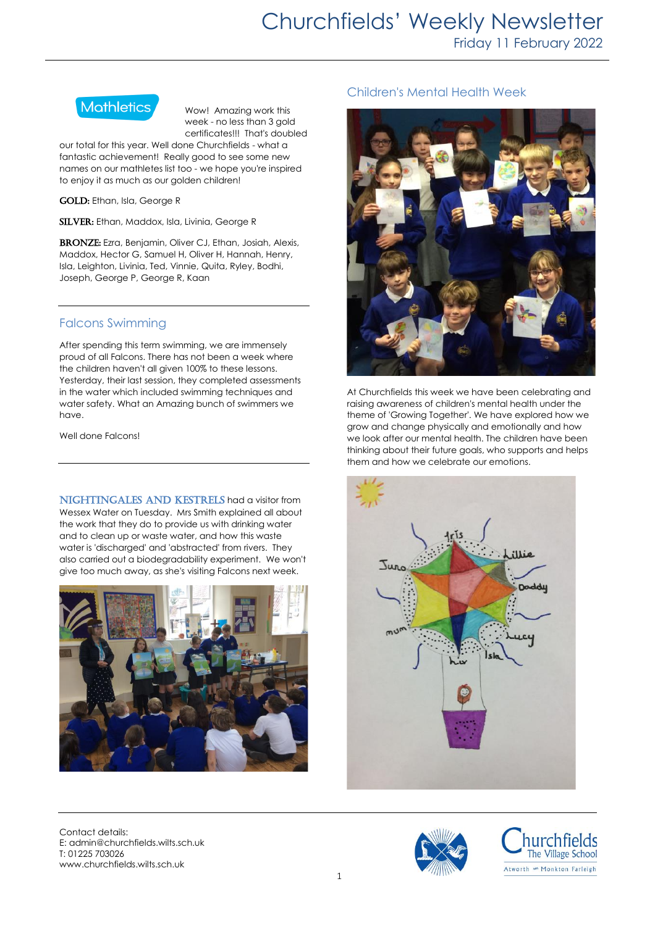

Wow! Amazing work this week - no less than 3 gold certificates!!! That's doubled

our total for this year. Well done Churchfields - what a fantastic achievement! Really good to see some new names on our mathletes list too - we hope you're inspired to enjoy it as much as our golden children!

GOLD: Ethan, Isla, George R

SILVER: Ethan, Maddox, Isla, Livinia, George R

BRONZE: Ezra, Benjamin, Oliver CJ, Ethan, Josiah, Alexis, Maddox, Hector G, Samuel H, Oliver H, Hannah, Henry, Isla, Leighton, Livinia, Ted, Vinnie, Quita, Ryley, Bodhi, Joseph, George P, George R, Kaan

## Falcons Swimming

After spending this term swimming, we are immensely proud of all Falcons. There has not been a week where the children haven't all given 100% to these lessons. Yesterday, their last session, they completed assessments in the water which included swimming techniques and water safety. What an Amazing bunch of swimmers we have.

Well done Falcons!

NIGHTINGALES AND KESTRELS had a visitor from Wessex Water on Tuesday. Mrs Smith explained all about the work that they do to provide us with drinking water and to clean up or waste water, and how this waste water is 'discharged' and 'abstracted' from rivers. They also carried out a biodegradability experiment. We won't give too much away, as she's visiting Falcons next week.



Contact details: E: admin@churchfields.wilts.sch.uk T: 01225 703026 www.churchfields.wilts.sch.uk

# Children's Mental Health Week



At Churchfields this week we have been celebrating and raising awareness of children's mental health under the theme of 'Growing Together'. We have explored how we grow and change physically and emotionally and how we look after our mental health. The children have been thinking about their future goals, who supports and helps them and how we celebrate our emotions.





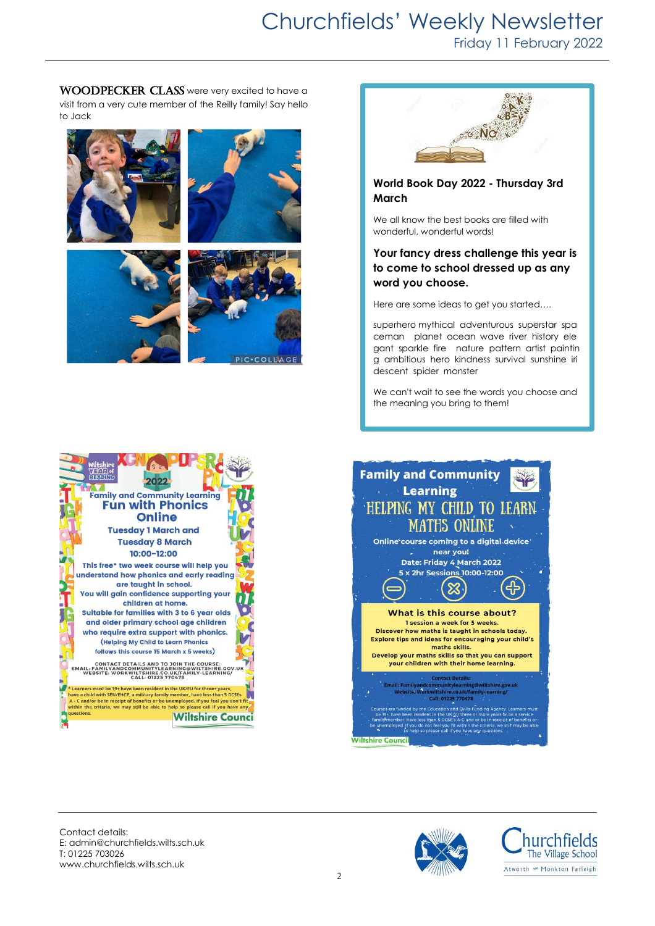WOODPECKER CLASS were very excited to have a visit from a very cute member of the Reilly family! Say hello to Jack







## **World Book Day 2022 - Thursday 3rd March**

We all know the best books are filled with wonderful, wonderful words!

### **Your fancy dress challenge this year is to come to school dressed up as any word you choose.**

Here are some ideas to get you started….

superhero mythical adventurous superstar spa ceman planet ocean wave river history ele gant sparkle fire nature pattern artist paintin g ambitious hero kindness survival sunshine iri descent spider monster

We can't wait to see the words you choose and the meaning you bring to them!





Contact details: E: admin@churchfields.wilts.sch.uk T: 01225 703026 www.churchfields.wilts.sch.uk



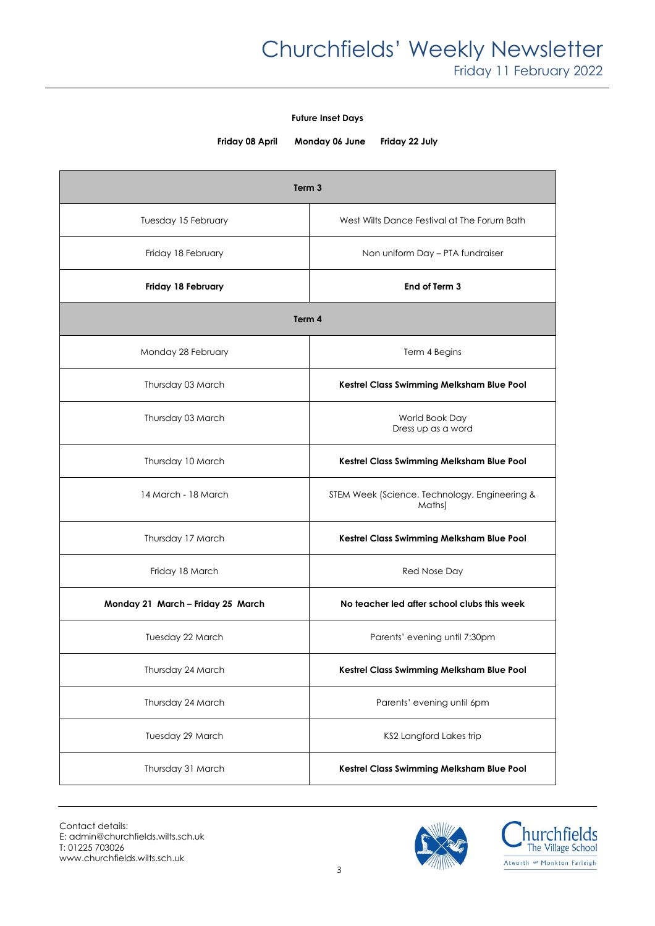#### **Future Inset Days**

**Friday 08 April Monday 06 June Friday 22 July**

| Term <sub>3</sub>                 |                                                         |
|-----------------------------------|---------------------------------------------------------|
| Tuesday 15 February               | West Wilts Dance Festival at The Forum Bath             |
| Friday 18 February                | Non uniform Day - PTA fundraiser                        |
| Friday 18 February                | End of Term 3                                           |
| Term 4                            |                                                         |
| Monday 28 February                | Term 4 Begins                                           |
| Thursday 03 March                 | Kestrel Class Swimming Melksham Blue Pool               |
| Thursday 03 March                 | World Book Day<br>Dress up as a word                    |
| Thursday 10 March                 | Kestrel Class Swimming Melksham Blue Pool               |
| 14 March - 18 March               | STEM Week (Science, Technology, Engineering &<br>Maths) |
| Thursday 17 March                 | Kestrel Class Swimming Melksham Blue Pool               |
| Friday 18 March                   | Red Nose Day                                            |
| Monday 21 March - Friday 25 March | No teacher led after school clubs this week             |
| Tuesday 22 March                  | Parents' evening until 7:30pm                           |
| Thursday 24 March                 | Kestrel Class Swimming Melksham Blue Pool               |
| Thursday 24 March                 | Parents' evening until 6pm                              |
| Tuesday 29 March                  | KS2 Langford Lakes trip                                 |
| Thursday 31 March                 | Kestrel Class Swimming Melksham Blue Pool               |